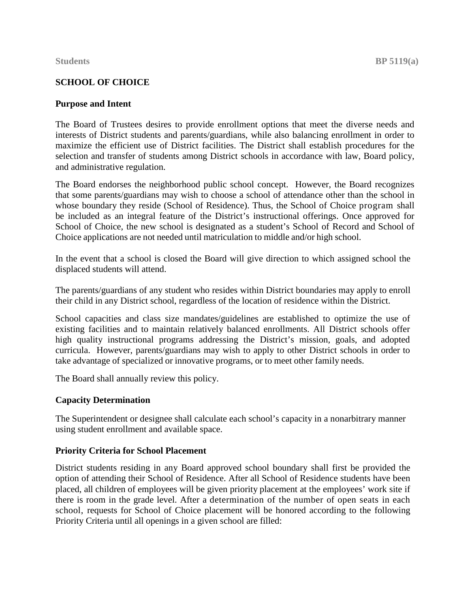# **SCHOOL OF CHOICE**

# **Purpose and Intent**

The Board of Trustees desires to provide enrollment options that meet the diverse needs and interests of District students and parents/guardians, while also balancing enrollment in order to maximize the efficient use of District facilities. The District shall establish procedures for the selection and transfer of students among District schools in accordance with law, Board policy, and administrative regulation.

The Board endorses the neighborhood public school concept. However, the Board recognizes that some parents/guardians may wish to choose a school of attendance other than the school in whose boundary they reside (School of Residence). Thus, the School of Choice program shall be included as an integral feature of the District's instructional offerings. Once approved for School of Choice, the new school is designated as a student's School of Record and School of Choice applications are not needed until matriculation to middle and/or high school.

In the event that a school is closed the Board will give direction to which assigned school the displaced students will attend.

The parents/guardians of any student who resides within District boundaries may apply to enroll their child in any District school, regardless of the location of residence within the District.

School capacities and class size mandates/guidelines are established to optimize the use of existing facilities and to maintain relatively balanced enrollments. All District schools offer high quality instructional programs addressing the District's mission, goals, and adopted curricula. However, parents/guardians may wish to apply to other District schools in order to take advantage of specialized or innovative programs, or to meet other family needs.

The Board shall annually review this policy.

# **Capacity Determination**

The Superintendent or designee shall calculate each school's capacity in a nonarbitrary manner using student enrollment and available space.

# **Priority Criteria for School Placement**

District students residing in any Board approved school boundary shall first be provided the option of attending their School of Residence. After all School of Residence students have been placed, all children of employees will be given priority placement at the employees' work site if there is room in the grade level. After a determination of the number of open seats in each school, requests for School of Choice placement will be honored according to the following Priority Criteria until all openings in a given school are filled: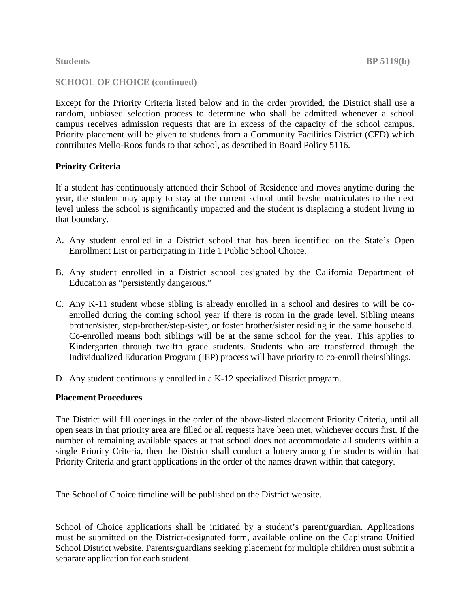## **SCHOOL OF CHOICE (continued)**

Except for the Priority Criteria listed below and in the order provided, the District shall use a random, unbiased selection process to determine who shall be admitted whenever a school campus receives admission requests that are in excess of the capacity of the school campus. Priority placement will be given to students from a Community Facilities District (CFD) which contributes Mello-Roos funds to that school, as described in Board Policy 5116.

# **Priority Criteria**

If a student has continuously attended their School of Residence and moves anytime during the year, the student may apply to stay at the current school until he/she matriculates to the next level unless the school is significantly impacted and the student is displacing a student living in that boundary.

- A. Any student enrolled in a District school that has been identified on the State's Open Enrollment List or participating in Title 1 Public School Choice.
- B. Any student enrolled in a District school designated by the California Department of Education as "persistently dangerous."
- C. Any K-11 student whose sibling is already enrolled in a school and desires to will be coenrolled during the coming school year if there is room in the grade level. Sibling means brother/sister, step-brother/step-sister, or foster brother/sister residing in the same household. Co-enrolled means both siblings will be at the same school for the year. This applies to Kindergarten through twelfth grade students. Students who are transferred through the Individualized Education Program (IEP) process will have priority to co-enroll theirsiblings.
- D. Any student continuously enrolled in a K-12 specialized District program.

### **Placement Procedures**

The District will fill openings in the order of the above-listed placement Priority Criteria, until all open seats in that priority area are filled or all requests have been met, whichever occurs first. If the number of remaining available spaces at that school does not accommodate all students within a single Priority Criteria, then the District shall conduct a lottery among the students within that Priority Criteria and grant applications in the order of the names drawn within that category.

The School of Choice timeline will be published on the District website.

School of Choice applications shall be initiated by a student's parent/guardian. Applications must be submitted on the District-designated form, available online on the Capistrano Unified School District website. Parents/guardians seeking placement for multiple children must submit a separate application for each student.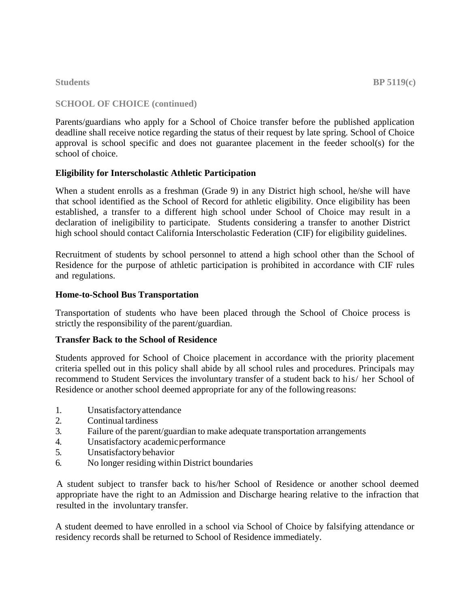## **SCHOOL OF CHOICE (continued)**

Parents/guardians who apply for a School of Choice transfer before the published application deadline shall receive notice regarding the status of their request by late spring. School of Choice approval is school specific and does not guarantee placement in the feeder school(s) for the school of choice.

## **Eligibility for Interscholastic Athletic Participation**

When a student enrolls as a freshman (Grade 9) in any District high school, he/she will have that school identified as the School of Record for athletic eligibility. Once eligibility has been established, a transfer to a different high school under School of Choice may result in a declaration of ineligibility to participate. Students considering a transfer to another District high school should contact California Interscholastic Federation (CIF) for eligibility guidelines.

Recruitment of students by school personnel to attend a high school other than the School of Residence for the purpose of athletic participation is prohibited in accordance with CIF rules and regulations.

### **Home-to-School Bus Transportation**

Transportation of students who have been placed through the School of Choice process is strictly the responsibility of the parent/guardian.

# **Transfer Back to the School of Residence**

Students approved for School of Choice placement in accordance with the priority placement criteria spelled out in this policy shall abide by all school rules and procedures. Principals may recommend to Student Services the involuntary transfer of a student back to his/ her School of Residence or another school deemed appropriate for any of the following reasons:

- 1. Unsatisfactoryattendance
- 2. Continual tardiness
- 3. Failure of the parent/guardian to make adequate transportation arrangements
- 4. Unsatisfactory academicperformance
- 5. Unsatisfactorybehavior
- 6. No longer residing within District boundaries

A student subject to transfer back to his/her School of Residence or another school deemed appropriate have the right to an Admission and Discharge hearing relative to the infraction that resulted in the involuntary transfer.

A student deemed to have enrolled in a school via School of Choice by falsifying attendance or residency records shall be returned to School of Residence immediately.